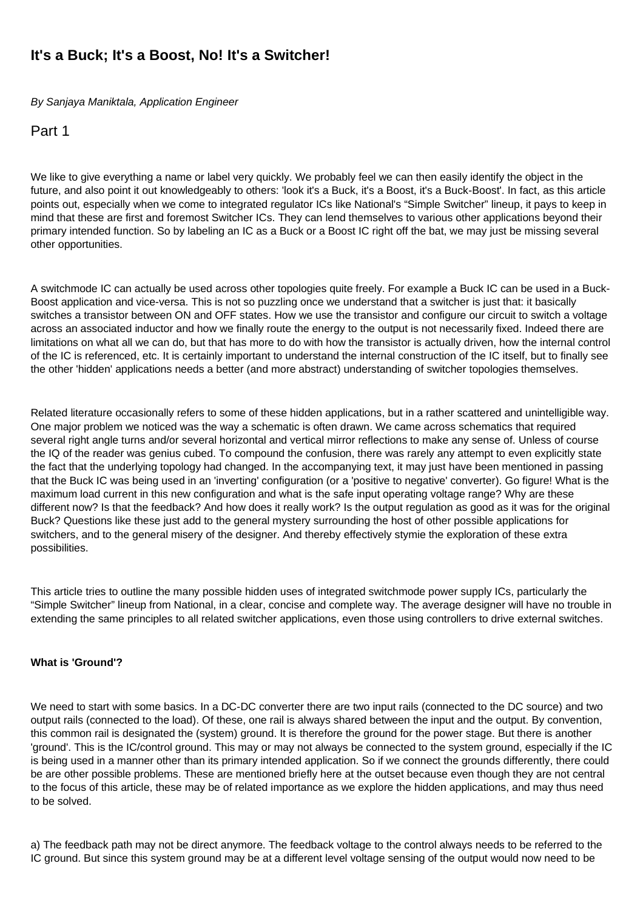# **It's a Buck; It's a Boost, No! It's a Switcher!**

By Sanjaya Maniktala, Application Engineer

Part 1

We like to give everything a name or label very quickly. We probably feel we can then easily identify the object in the future, and also point it out knowledgeably to others: 'look it's a Buck, it's a Boost, it's a Buck-Boost'. In fact, as this article points out, especially when we come to integrated regulator ICs like National's "Simple Switcher" lineup, it pays to keep in mind that these are first and foremost Switcher ICs. They can lend themselves to various other applications beyond their primary intended function. So by labeling an IC as a Buck or a Boost IC right off the bat, we may just be missing several other opportunities.

A switchmode IC can actually be used across other topologies quite freely. For example a Buck IC can be used in a Buck-Boost application and vice-versa. This is not so puzzling once we understand that a switcher is just that: it basically switches a transistor between ON and OFF states. How we use the transistor and configure our circuit to switch a voltage across an associated inductor and how we finally route the energy to the output is not necessarily fixed. Indeed there are limitations on what all we can do, but that has more to do with how the transistor is actually driven, how the internal control of the IC is referenced, etc. It is certainly important to understand the internal construction of the IC itself, but to finally see the other 'hidden' applications needs a better (and more abstract) understanding of switcher topologies themselves.

Related literature occasionally refers to some of these hidden applications, but in a rather scattered and unintelligible way. One major problem we noticed was the way a schematic is often drawn. We came across schematics that required several right angle turns and/or several horizontal and vertical mirror reflections to make any sense of. Unless of course the IQ of the reader was genius cubed. To compound the confusion, there was rarely any attempt to even explicitly state the fact that the underlying topology had changed. In the accompanying text, it may just have been mentioned in passing that the Buck IC was being used in an 'inverting' configuration (or a 'positive to negative' converter). Go figure! What is the maximum load current in this new configuration and what is the safe input operating voltage range? Why are these different now? Is that the feedback? And how does it really work? Is the output regulation as good as it was for the original Buck? Questions like these just add to the general mystery surrounding the host of other possible applications for switchers, and to the general misery of the designer. And thereby effectively stymie the exploration of these extra possibilities.

This article tries to outline the many possible hidden uses of integrated switchmode power supply ICs, particularly the "Simple Switcher" lineup from National, in a clear, concise and complete way. The average designer will have no trouble in extending the same principles to all related switcher applications, even those using controllers to drive external switches.

# **What is 'Ground'?**

We need to start with some basics. In a DC-DC converter there are two input rails (connected to the DC source) and two output rails (connected to the load). Of these, one rail is always shared between the input and the output. By convention, this common rail is designated the (system) ground. It is therefore the ground for the power stage. But there is another 'ground'. This is the IC/control ground. This may or may not always be connected to the system ground, especially if the IC is being used in a manner other than its primary intended application. So if we connect the grounds differently, there could be are other possible problems. These are mentioned briefly here at the outset because even though they are not central to the focus of this article, these may be of related importance as we explore the hidden applications, and may thus need to be solved.

a) The feedback path may not be direct anymore. The feedback voltage to the control always needs to be referred to the IC ground. But since this system ground may be at a different level voltage sensing of the output would now need to be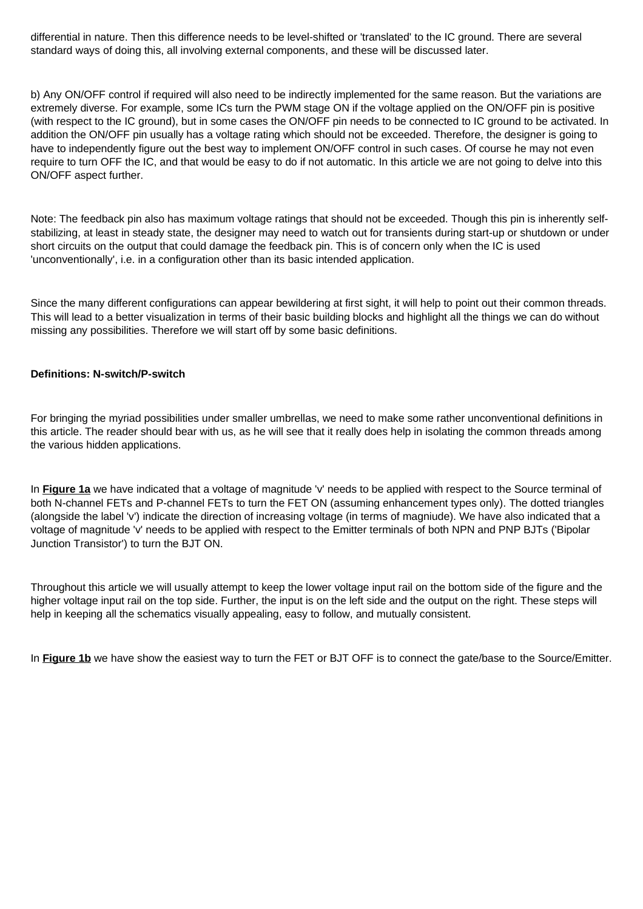differential in nature. Then this difference needs to be level-shifted or 'translated' to the IC ground. There are several standard ways of doing this, all involving external components, and these will be discussed later.

b) Any ON/OFF control if required will also need to be indirectly implemented for the same reason. But the variations are extremely diverse. For example, some ICs turn the PWM stage ON if the voltage applied on the ON/OFF pin is positive (with respect to the IC ground), but in some cases the ON/OFF pin needs to be connected to IC ground to be activated. In addition the ON/OFF pin usually has a voltage rating which should not be exceeded. Therefore, the designer is going to have to independently figure out the best way to implement ON/OFF control in such cases. Of course he may not even require to turn OFF the IC, and that would be easy to do if not automatic. In this article we are not going to delve into this ON/OFF aspect further.

Note: The feedback pin also has maximum voltage ratings that should not be exceeded. Though this pin is inherently selfstabilizing, at least in steady state, the designer may need to watch out for transients during start-up or shutdown or under short circuits on the output that could damage the feedback pin. This is of concern only when the IC is used 'unconventionally', i.e. in a configuration other than its basic intended application.

Since the many different configurations can appear bewildering at first sight, it will help to point out their common threads. This will lead to a better visualization in terms of their basic building blocks and highlight all the things we can do without missing any possibilities. Therefore we will start off by some basic definitions.

### **Definitions: N-switch/P-switch**

For bringing the myriad possibilities under smaller umbrellas, we need to make some rather unconventional definitions in this article. The reader should bear with us, as he will see that it really does help in isolating the common threads among the various hidden applications.

In **Figure 1a** we have indicated that a voltage of magnitude 'v' needs to be applied with respect to the Source terminal of both N-channel FETs and P-channel FETs to turn the FET ON (assuming enhancement types only). The dotted triangles (alongside the label 'v') indicate the direction of increasing voltage (in terms of magniude). We have also indicated that a voltage of magnitude 'v' needs to be applied with respect to the Emitter terminals of both NPN and PNP BJTs ('Bipolar Junction Transistor') to turn the BJT ON.

Throughout this article we will usually attempt to keep the lower voltage input rail on the bottom side of the figure and the higher voltage input rail on the top side. Further, the input is on the left side and the output on the right. These steps will help in keeping all the schematics visually appealing, easy to follow, and mutually consistent.

In **Figure 1b** we have show the easiest way to turn the FET or BJT OFF is to connect the gate/base to the Source/Emitter.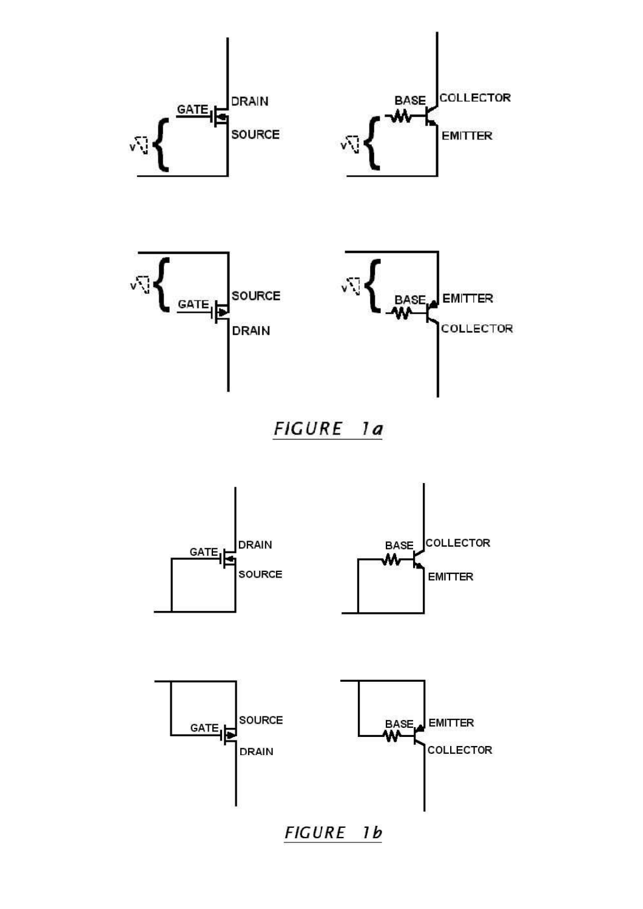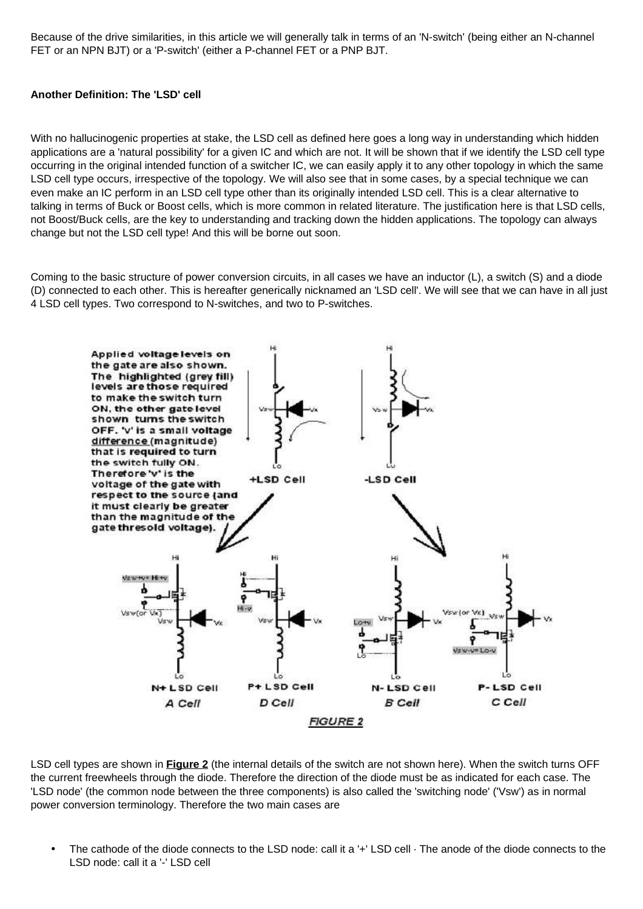Because of the drive similarities, in this article we will generally talk in terms of an 'N-switch' (being either an N-channel FET or an NPN BJT) or a 'P-switch' (either a P-channel FET or a PNP BJT.

### **Another Definition: The 'LSD' cell**

With no hallucinogenic properties at stake, the LSD cell as defined here goes a long way in understanding which hidden applications are a 'natural possibility' for a given IC and which are not. It will be shown that if we identify the LSD cell type occurring in the original intended function of a switcher IC, we can easily apply it to any other topology in which the same LSD cell type occurs, irrespective of the topology. We will also see that in some cases, by a special technique we can even make an IC perform in an LSD cell type other than its originally intended LSD cell. This is a clear alternative to talking in terms of Buck or Boost cells, which is more common in related literature. The justification here is that LSD cells, not Boost/Buck cells, are the key to understanding and tracking down the hidden applications. The topology can always change but not the LSD cell type! And this will be borne out soon.

Coming to the basic structure of power conversion circuits, in all cases we have an inductor (L), a switch (S) and a diode (D) connected to each other. This is hereafter generically nicknamed an 'LSD cell'. We will see that we can have in all just 4 LSD cell types. Two correspond to N-switches, and two to P-switches.



LSD cell types are shown in **Figure 2** (the internal details of the switch are not shown here). When the switch turns OFF the current freewheels through the diode. Therefore the direction of the diode must be as indicated for each case. The 'LSD node' (the common node between the three components) is also called the 'switching node' ('Vsw') as in normal power conversion terminology. Therefore the two main cases are

The cathode of the diode connects to the LSD node: call it a '+' LSD cell  $\cdot$  The anode of the diode connects to the LSD node: call it a '-' LSD cell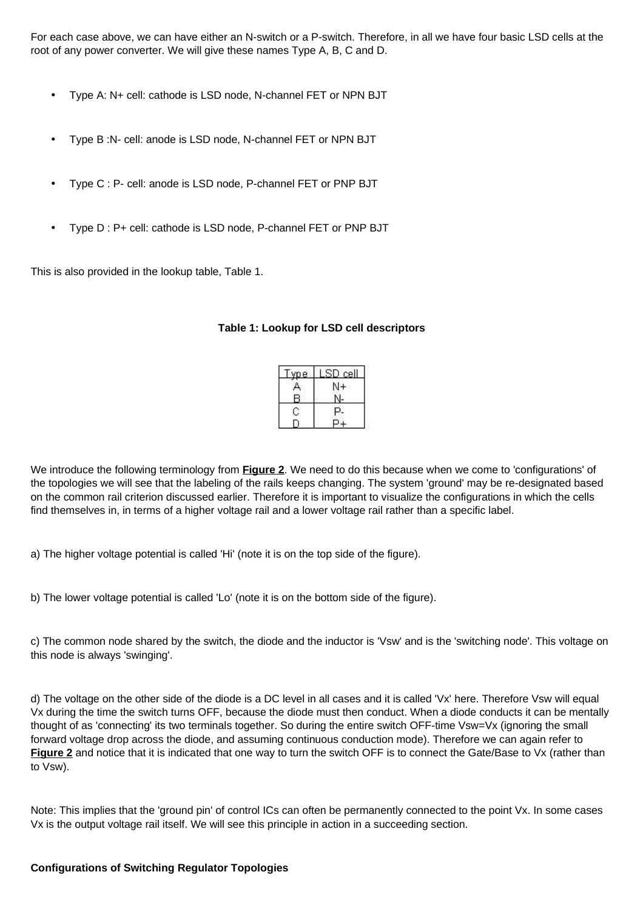For each case above, we can have either an N-switch or a P-switch. Therefore, in all we have four basic LSD cells at the root of any power converter. We will give these names Type A, B, C and D.

- Type A: N+ cell: cathode is LSD node, N-channel FET or NPN BJT
- Type B :N- cell: anode is LSD node, N-channel FET or NPN BJT
- Type C : P- cell: anode is LSD node, P-channel FET or PNP BJT
- Type D : P+ cell: cathode is LSD node, P-channel FET or PNP BJT

This is also provided in the lookup table, Table 1.

| vpe. | cell |
|------|------|
|      |      |
|      |      |
|      |      |
|      |      |

## **Table 1: Lookup for LSD cell descriptors**

We introduce the following terminology from **Figure 2**. We need to do this because when we come to 'configurations' of the topologies we will see that the labeling of the rails keeps changing. The system 'ground' may be re-designated based on the common rail criterion discussed earlier. Therefore it is important to visualize the configurations in which the cells find themselves in, in terms of a higher voltage rail and a lower voltage rail rather than a specific label.

a) The higher voltage potential is called 'Hi' (note it is on the top side of the figure).

b) The lower voltage potential is called 'Lo' (note it is on the bottom side of the figure).

c) The common node shared by the switch, the diode and the inductor is 'Vsw' and is the 'switching node'. This voltage on this node is always 'swinging'.

d) The voltage on the other side of the diode is a DC level in all cases and it is called 'Vx' here. Therefore Vsw will equal Vx during the time the switch turns OFF, because the diode must then conduct. When a diode conducts it can be mentally thought of as 'connecting' its two terminals together. So during the entire switch OFF-time Vsw=Vx (ignoring the small forward voltage drop across the diode, and assuming continuous conduction mode). Therefore we can again refer to **Figure 2** and notice that it is indicated that one way to turn the switch OFF is to connect the Gate/Base to Vx (rather than to Vsw).

Note: This implies that the 'ground pin' of control ICs can often be permanently connected to the point Vx. In some cases Vx is the output voltage rail itself. We will see this principle in action in a succeeding section.

## **Configurations of Switching Regulator Topologies**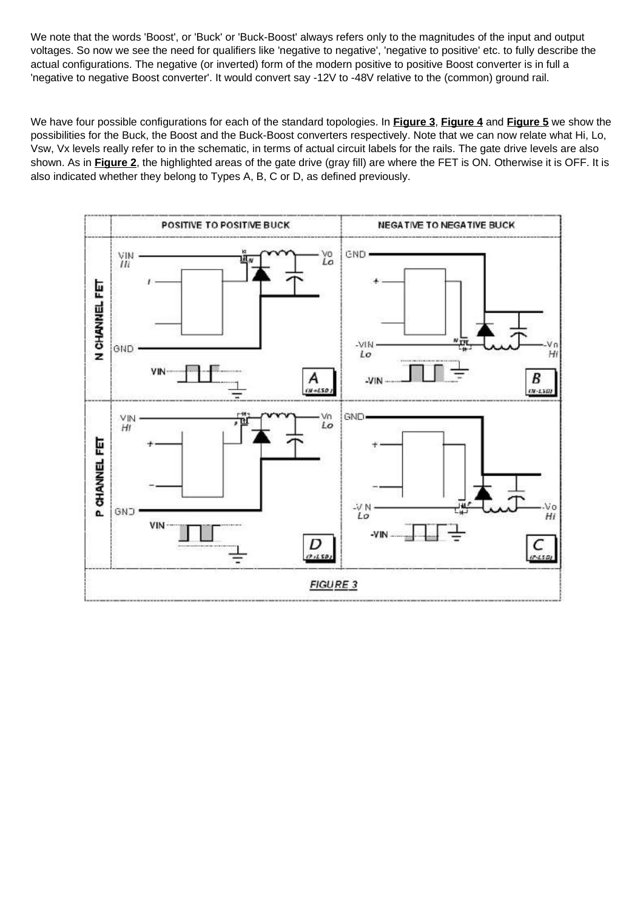We note that the words 'Boost', or 'Buck' or 'Buck-Boost' always refers only to the magnitudes of the input and output voltages. So now we see the need for qualifiers like 'negative to negative', 'negative to positive' etc. to fully describe the actual configurations. The negative (or inverted) form of the modern positive to positive Boost converter is in full a 'negative to negative Boost converter'. It would convert say -12V to -48V relative to the (common) ground rail.

We have four possible configurations for each of the standard topologies. In **Figure 3**, **Figure 4** and **Figure 5** we show the possibilities for the Buck, the Boost and the Buck-Boost converters respectively. Note that we can now relate what Hi, Lo, Vsw, Vx levels really refer to in the schematic, in terms of actual circuit labels for the rails. The gate drive levels are also shown. As in **Figure 2**, the highlighted areas of the gate drive (gray fill) are where the FET is ON. Otherwise it is OFF. It is also indicated whether they belong to Types A, B, C or D, as defined previously.

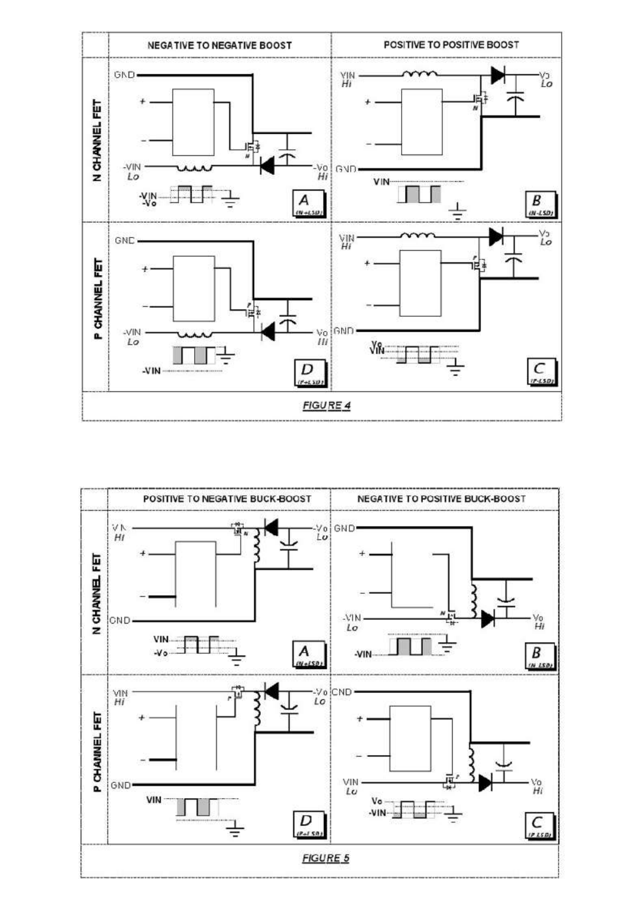

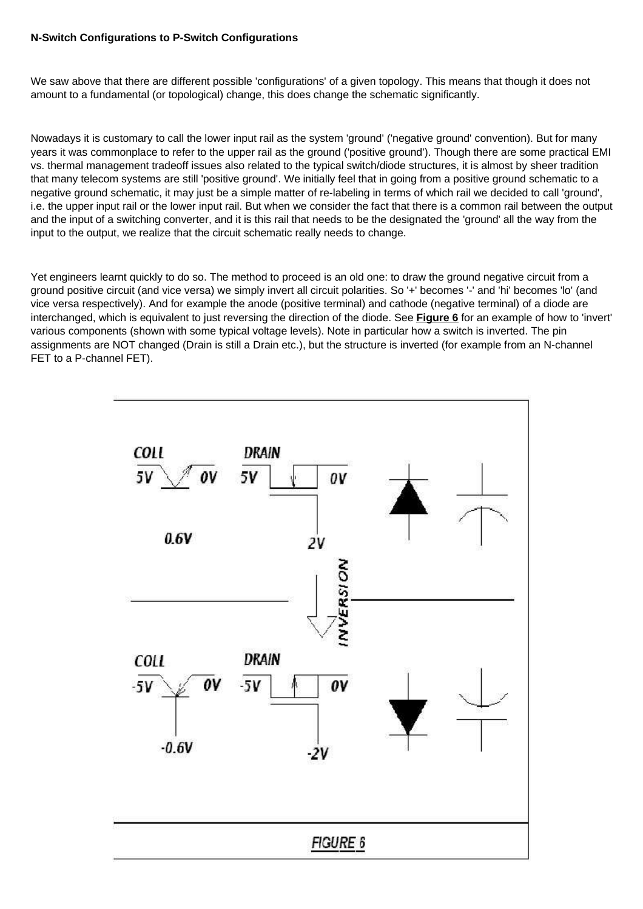# **N-Switch Configurations to P-Switch Configurations**

We saw above that there are different possible 'configurations' of a given topology. This means that though it does not amount to a fundamental (or topological) change, this does change the schematic significantly.

Nowadays it is customary to call the lower input rail as the system 'ground' ('negative ground' convention). But for many years it was commonplace to refer to the upper rail as the ground ('positive ground'). Though there are some practical EMI vs. thermal management tradeoff issues also related to the typical switch/diode structures, it is almost by sheer tradition that many telecom systems are still 'positive ground'. We initially feel that in going from a positive ground schematic to a negative ground schematic, it may just be a simple matter of re-labeling in terms of which rail we decided to call 'ground', i.e. the upper input rail or the lower input rail. But when we consider the fact that there is a common rail between the output and the input of a switching converter, and it is this rail that needs to be the designated the 'ground' all the way from the input to the output, we realize that the circuit schematic really needs to change.

Yet engineers learnt quickly to do so. The method to proceed is an old one: to draw the ground negative circuit from a ground positive circuit (and vice versa) we simply invert all circuit polarities. So '+' becomes '-' and 'hi' becomes 'lo' (and vice versa respectively). And for example the anode (positive terminal) and cathode (negative terminal) of a diode are interchanged, which is equivalent to just reversing the direction of the diode. See **Figure 6** for an example of how to 'invert' various components (shown with some typical voltage levels). Note in particular how a switch is inverted. The pin assignments are NOT changed (Drain is still a Drain etc.), but the structure is inverted (for example from an N-channel FET to a P-channel FET).

![](_page_7_Figure_4.jpeg)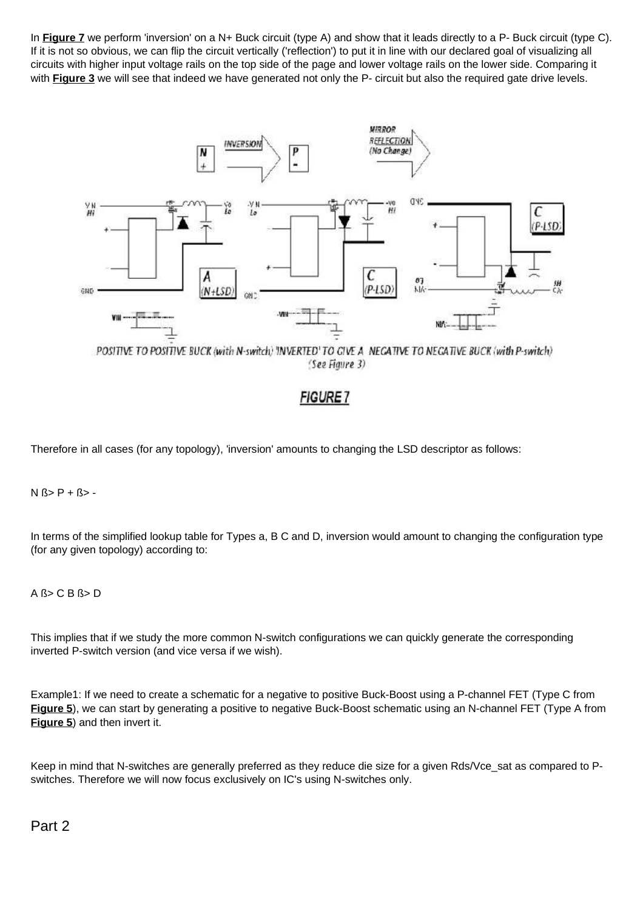In **Figure 7** we perform 'inversion' on a N+ Buck circuit (type A) and show that it leads directly to a P- Buck circuit (type C). If it is not so obvious, we can flip the circuit vertically ('reflection') to put it in line with our declared goal of visualizing all circuits with higher input voltage rails on the top side of the page and lower voltage rails on the lower side. Comparing it with **Figure 3** we will see that indeed we have generated not only the P- circuit but also the required gate drive levels.

![](_page_8_Figure_1.jpeg)

(See Figure 3)

# **FIGURE** 7

Therefore in all cases (for any topology), 'inversion' amounts to changing the LSD descriptor as follows:

 $N$   $(s > P + S > -$ 

In terms of the simplified lookup table for Types a, B C and D, inversion would amount to changing the configuration type (for any given topology) according to:

# A ß> C B ß> D

This implies that if we study the more common N-switch configurations we can quickly generate the corresponding inverted P-switch version (and vice versa if we wish).

Example1: If we need to create a schematic for a negative to positive Buck-Boost using a P-channel FET (Type C from **Figure 5**), we can start by generating a positive to negative Buck-Boost schematic using an N-channel FET (Type A from **Figure 5**) and then invert it.

Keep in mind that N-switches are generally preferred as they reduce die size for a given Rds/Vce sat as compared to Pswitches. Therefore we will now focus exclusively on IC's using N-switches only.

Part 2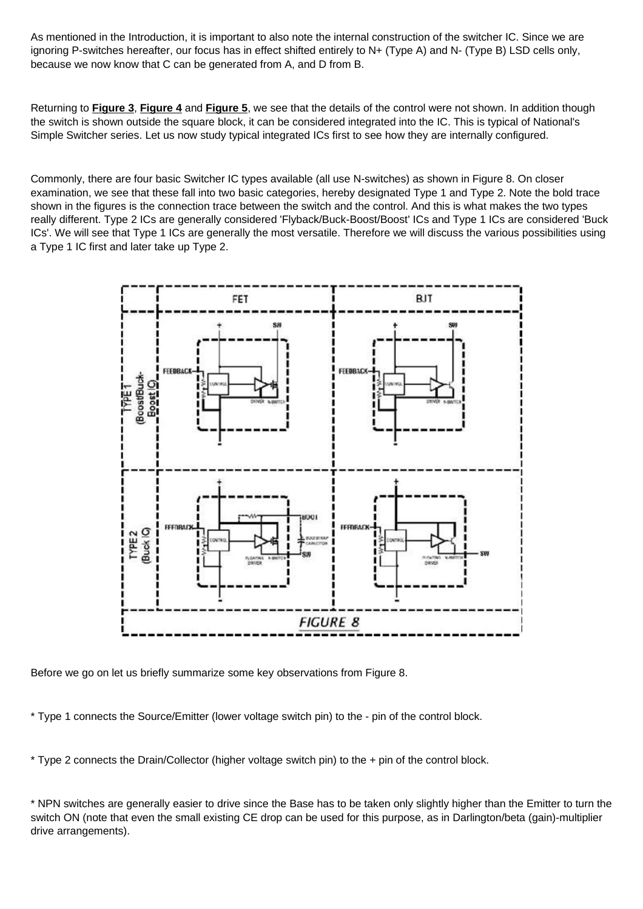As mentioned in the Introduction, it is important to also note the internal construction of the switcher IC. Since we are ignoring P-switches hereafter, our focus has in effect shifted entirely to N+ (Type A) and N- (Type B) LSD cells only, because we now know that C can be generated from A, and D from B.

Returning to **Figure 3**, **Figure 4** and **Figure 5**, we see that the details of the control were not shown. In addition though the switch is shown outside the square block, it can be considered integrated into the IC. This is typical of National's Simple Switcher series. Let us now study typical integrated ICs first to see how they are internally configured.

Commonly, there are four basic Switcher IC types available (all use N-switches) as shown in Figure 8. On closer examination, we see that these fall into two basic categories, hereby designated Type 1 and Type 2. Note the bold trace shown in the figures is the connection trace between the switch and the control. And this is what makes the two types really different. Type 2 ICs are generally considered 'Flyback/Buck-Boost/Boost' ICs and Type 1 ICs are considered 'Buck ICs'. We will see that Type 1 ICs are generally the most versatile. Therefore we will discuss the various possibilities using a Type 1 IC first and later take up Type 2.

![](_page_9_Figure_3.jpeg)

Before we go on let us briefly summarize some key observations from Figure 8.

\* Type 1 connects the Source/Emitter (lower voltage switch pin) to the - pin of the control block.

\* Type 2 connects the Drain/Collector (higher voltage switch pin) to the + pin of the control block.

\* NPN switches are generally easier to drive since the Base has to be taken only slightly higher than the Emitter to turn the switch ON (note that even the small existing CE drop can be used for this purpose, as in Darlington/beta (gain)-multiplier drive arrangements).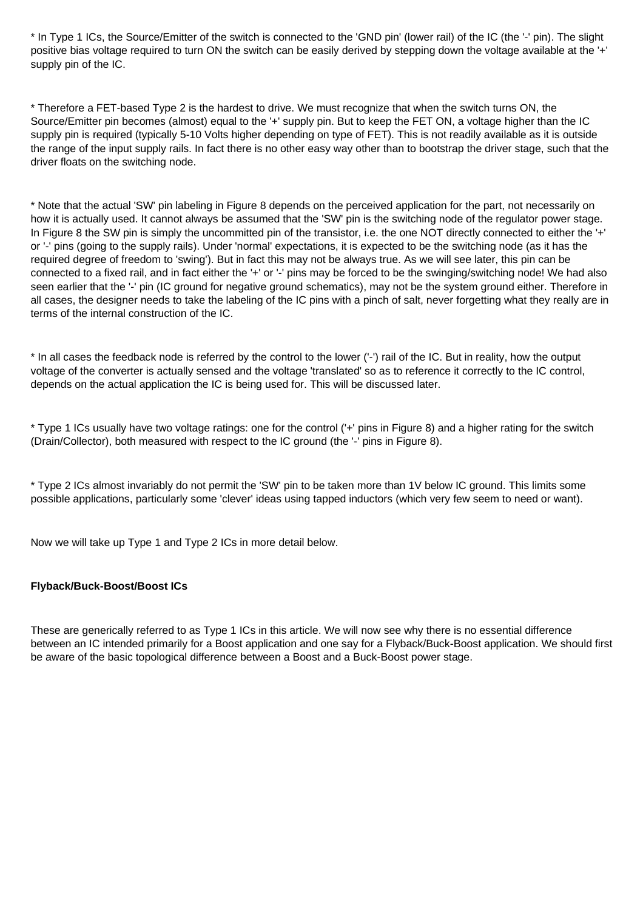\* In Type 1 ICs, the Source/Emitter of the switch is connected to the 'GND pin' (lower rail) of the IC (the '-' pin). The slight positive bias voltage required to turn ON the switch can be easily derived by stepping down the voltage available at the '+' supply pin of the IC.

\* Therefore a FET-based Type 2 is the hardest to drive. We must recognize that when the switch turns ON, the Source/Emitter pin becomes (almost) equal to the '+' supply pin. But to keep the FET ON, a voltage higher than the IC supply pin is required (typically 5-10 Volts higher depending on type of FET). This is not readily available as it is outside the range of the input supply rails. In fact there is no other easy way other than to bootstrap the driver stage, such that the driver floats on the switching node.

\* Note that the actual 'SW' pin labeling in Figure 8 depends on the perceived application for the part, not necessarily on how it is actually used. It cannot always be assumed that the 'SW' pin is the switching node of the regulator power stage. In Figure 8 the SW pin is simply the uncommitted pin of the transistor, i.e. the one NOT directly connected to either the '+' or '-' pins (going to the supply rails). Under 'normal' expectations, it is expected to be the switching node (as it has the required degree of freedom to 'swing'). But in fact this may not be always true. As we will see later, this pin can be connected to a fixed rail, and in fact either the '+' or '-' pins may be forced to be the swinging/switching node! We had also seen earlier that the '-' pin (IC ground for negative ground schematics), may not be the system ground either. Therefore in all cases, the designer needs to take the labeling of the IC pins with a pinch of salt, never forgetting what they really are in terms of the internal construction of the IC.

\* In all cases the feedback node is referred by the control to the lower ('-') rail of the IC. But in reality, how the output voltage of the converter is actually sensed and the voltage 'translated' so as to reference it correctly to the IC control, depends on the actual application the IC is being used for. This will be discussed later.

\* Type 1 ICs usually have two voltage ratings: one for the control ('+' pins in Figure 8) and a higher rating for the switch (Drain/Collector), both measured with respect to the IC ground (the '-' pins in Figure 8).

\* Type 2 ICs almost invariably do not permit the 'SW' pin to be taken more than 1V below IC ground. This limits some possible applications, particularly some 'clever' ideas using tapped inductors (which very few seem to need or want).

Now we will take up Type 1 and Type 2 ICs in more detail below.

# **Flyback/Buck-Boost/Boost ICs**

These are generically referred to as Type 1 ICs in this article. We will now see why there is no essential difference between an IC intended primarily for a Boost application and one say for a Flyback/Buck-Boost application. We should first be aware of the basic topological difference between a Boost and a Buck-Boost power stage.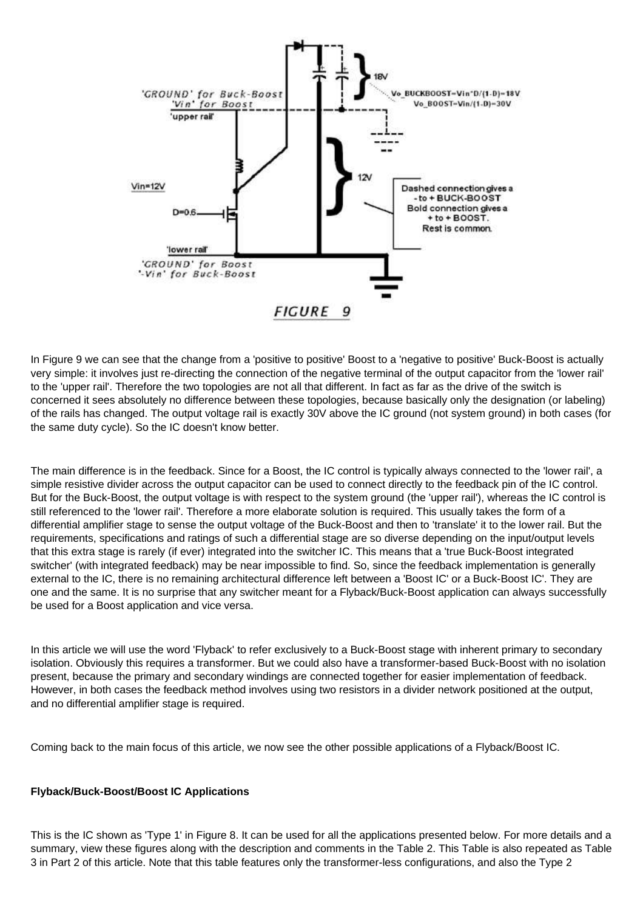![](_page_11_Figure_0.jpeg)

In Figure 9 we can see that the change from a 'positive to positive' Boost to a 'negative to positive' Buck-Boost is actually very simple: it involves just re-directing the connection of the negative terminal of the output capacitor from the 'lower rail' to the 'upper rail'. Therefore the two topologies are not all that different. In fact as far as the drive of the switch is concerned it sees absolutely no difference between these topologies, because basically only the designation (or labeling) of the rails has changed. The output voltage rail is exactly 30V above the IC ground (not system ground) in both cases (for the same duty cycle). So the IC doesn't know better.

The main difference is in the feedback. Since for a Boost, the IC control is typically always connected to the 'lower rail', a simple resistive divider across the output capacitor can be used to connect directly to the feedback pin of the IC control. But for the Buck-Boost, the output voltage is with respect to the system ground (the 'upper rail'), whereas the IC control is still referenced to the 'lower rail'. Therefore a more elaborate solution is required. This usually takes the form of a differential amplifier stage to sense the output voltage of the Buck-Boost and then to 'translate' it to the lower rail. But the requirements, specifications and ratings of such a differential stage are so diverse depending on the input/output levels that this extra stage is rarely (if ever) integrated into the switcher IC. This means that a 'true Buck-Boost integrated switcher' (with integrated feedback) may be near impossible to find. So, since the feedback implementation is generally external to the IC, there is no remaining architectural difference left between a 'Boost IC' or a Buck-Boost IC'. They are one and the same. It is no surprise that any switcher meant for a Flyback/Buck-Boost application can always successfully be used for a Boost application and vice versa.

In this article we will use the word 'Flyback' to refer exclusively to a Buck-Boost stage with inherent primary to secondary isolation. Obviously this requires a transformer. But we could also have a transformer-based Buck-Boost with no isolation present, because the primary and secondary windings are connected together for easier implementation of feedback. However, in both cases the feedback method involves using two resistors in a divider network positioned at the output, and no differential amplifier stage is required.

Coming back to the main focus of this article, we now see the other possible applications of a Flyback/Boost IC.

#### **Flyback/Buck-Boost/Boost IC Applications**

This is the IC shown as 'Type 1' in Figure 8. It can be used for all the applications presented below. For more details and a summary, view these figures along with the description and comments in the Table 2. This Table is also repeated as Table 3 in Part 2 of this article. Note that this table features only the transformer-less configurations, and also the Type 2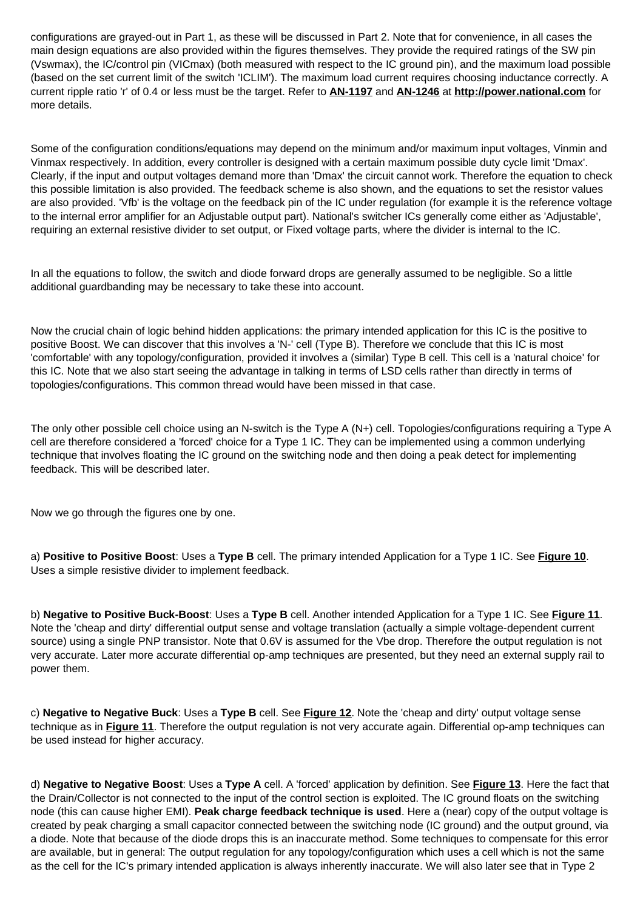configurations are grayed-out in Part 1, as these will be discussed in Part 2. Note that for convenience, in all cases the main design equations are also provided within the figures themselves. They provide the required ratings of the SW pin (Vswmax), the IC/control pin (VICmax) (both measured with respect to the IC ground pin), and the maximum load possible (based on the set current limit of the switch 'ICLIM'). The maximum load current requires choosing inductance correctly. A current ripple ratio 'r' of 0.4 or less must be the target. Refer to **AN-1197** and **AN-1246** at **http://power.national.com** for more details.

Some of the configuration conditions/equations may depend on the minimum and/or maximum input voltages, Vinmin and Vinmax respectively. In addition, every controller is designed with a certain maximum possible duty cycle limit 'Dmax'. Clearly, if the input and output voltages demand more than 'Dmax' the circuit cannot work. Therefore the equation to check this possible limitation is also provided. The feedback scheme is also shown, and the equations to set the resistor values are also provided. 'Vfb' is the voltage on the feedback pin of the IC under regulation (for example it is the reference voltage to the internal error amplifier for an Adjustable output part). National's switcher ICs generally come either as 'Adjustable', requiring an external resistive divider to set output, or Fixed voltage parts, where the divider is internal to the IC.

In all the equations to follow, the switch and diode forward drops are generally assumed to be negligible. So a little additional guardbanding may be necessary to take these into account.

Now the crucial chain of logic behind hidden applications: the primary intended application for this IC is the positive to positive Boost. We can discover that this involves a 'N-' cell (Type B). Therefore we conclude that this IC is most 'comfortable' with any topology/configuration, provided it involves a (similar) Type B cell. This cell is a 'natural choice' for this IC. Note that we also start seeing the advantage in talking in terms of LSD cells rather than directly in terms of topologies/configurations. This common thread would have been missed in that case.

The only other possible cell choice using an N-switch is the Type A (N+) cell. Topologies/configurations requiring a Type A cell are therefore considered a 'forced' choice for a Type 1 IC. They can be implemented using a common underlying technique that involves floating the IC ground on the switching node and then doing a peak detect for implementing feedback. This will be described later.

Now we go through the figures one by one.

a) **Positive to Positive Boost**: Uses a **Type B** cell. The primary intended Application for a Type 1 IC. See **Figure 10**. Uses a simple resistive divider to implement feedback.

b) **Negative to Positive Buck-Boost**: Uses a **Type B** cell. Another intended Application for a Type 1 IC. See **Figure 11**. Note the 'cheap and dirty' differential output sense and voltage translation (actually a simple voltage-dependent current source) using a single PNP transistor. Note that 0.6V is assumed for the Vbe drop. Therefore the output regulation is not very accurate. Later more accurate differential op-amp techniques are presented, but they need an external supply rail to power them.

c) **Negative to Negative Buck**: Uses a **Type B** cell. See **Figure 12**. Note the 'cheap and dirty' output voltage sense technique as in **Figure 11**. Therefore the output regulation is not very accurate again. Differential op-amp techniques can be used instead for higher accuracy.

d) **Negative to Negative Boost**: Uses a **Type A** cell. A 'forced' application by definition. See **Figure 13**. Here the fact that the Drain/Collector is not connected to the input of the control section is exploited. The IC ground floats on the switching node (this can cause higher EMI). **Peak charge feedback technique is used**. Here a (near) copy of the output voltage is created by peak charging a small capacitor connected between the switching node (IC ground) and the output ground, via a diode. Note that because of the diode drops this is an inaccurate method. Some techniques to compensate for this error are available, but in general: The output regulation for any topology/configuration which uses a cell which is not the same as the cell for the IC's primary intended application is always inherently inaccurate. We will also later see that in Type 2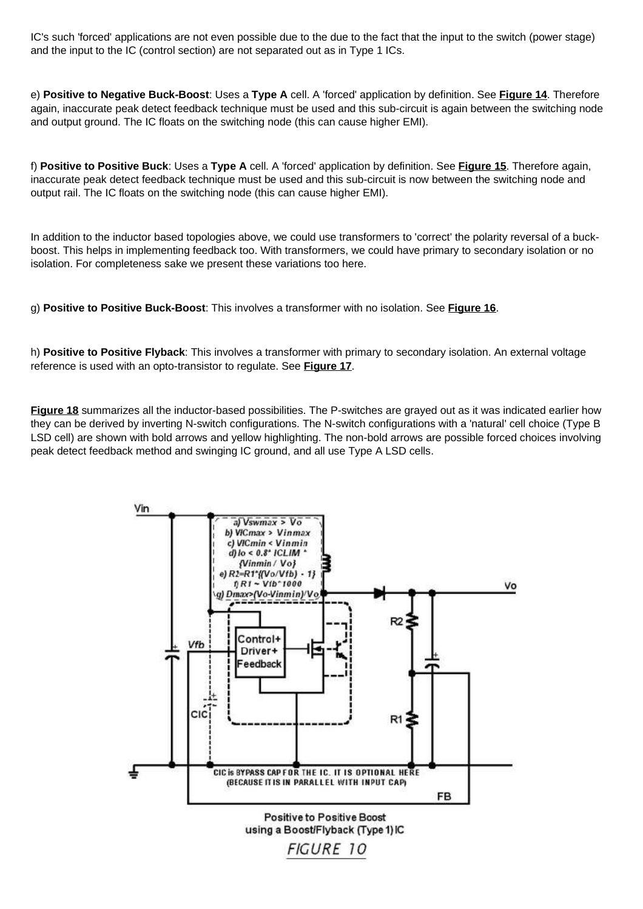IC's such 'forced' applications are not even possible due to the due to the fact that the input to the switch (power stage) and the input to the IC (control section) are not separated out as in Type 1 ICs.

e) **Positive to Negative Buck-Boost**: Uses a **Type A** cell. A 'forced' application by definition. See **Figure 14**. Therefore again, inaccurate peak detect feedback technique must be used and this sub-circuit is again between the switching node and output ground. The IC floats on the switching node (this can cause higher EMI).

f) **Positive to Positive Buck**: Uses a **Type A** cell. A 'forced' application by definition. See **Figure 15**. Therefore again, inaccurate peak detect feedback technique must be used and this sub-circuit is now between the switching node and output rail. The IC floats on the switching node (this can cause higher EMI).

In addition to the inductor based topologies above, we could use transformers to 'correct' the polarity reversal of a buckboost. This helps in implementing feedback too. With transformers, we could have primary to secondary isolation or no isolation. For completeness sake we present these variations too here.

g) **Positive to Positive Buck-Boost**: This involves a transformer with no isolation. See **Figure 16**.

h) **Positive to Positive Flyback**: This involves a transformer with primary to secondary isolation. An external voltage reference is used with an opto-transistor to regulate. See **Figure 17**.

**Figure 18** summarizes all the inductor-based possibilities. The P-switches are grayed out as it was indicated earlier how they can be derived by inverting N-switch configurations. The N-switch configurations with a 'natural' cell choice (Type B LSD cell) are shown with bold arrows and yellow highlighting. The non-bold arrows are possible forced choices involving peak detect feedback method and swinging IC ground, and all use Type A LSD cells.

![](_page_13_Figure_7.jpeg)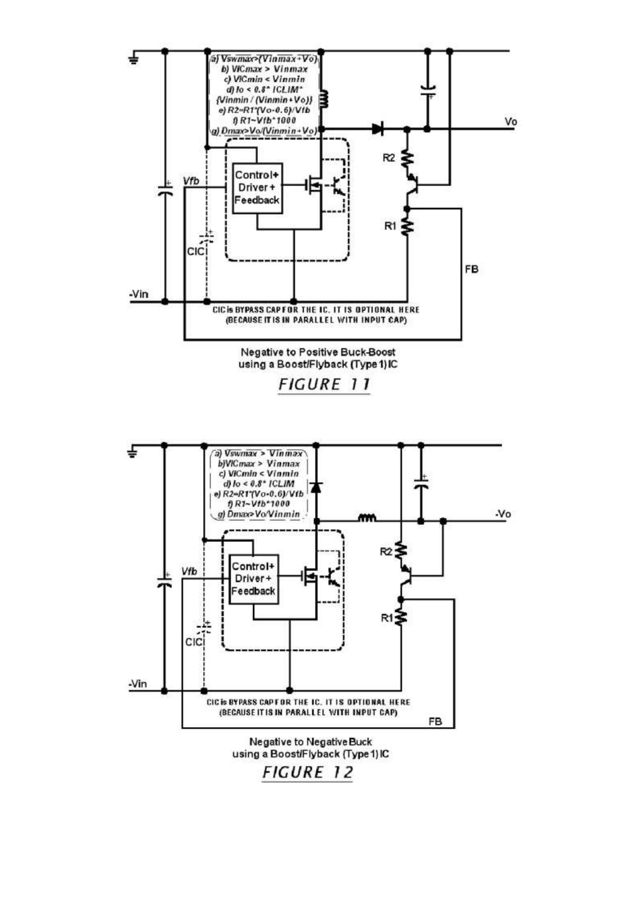![](_page_14_Figure_0.jpeg)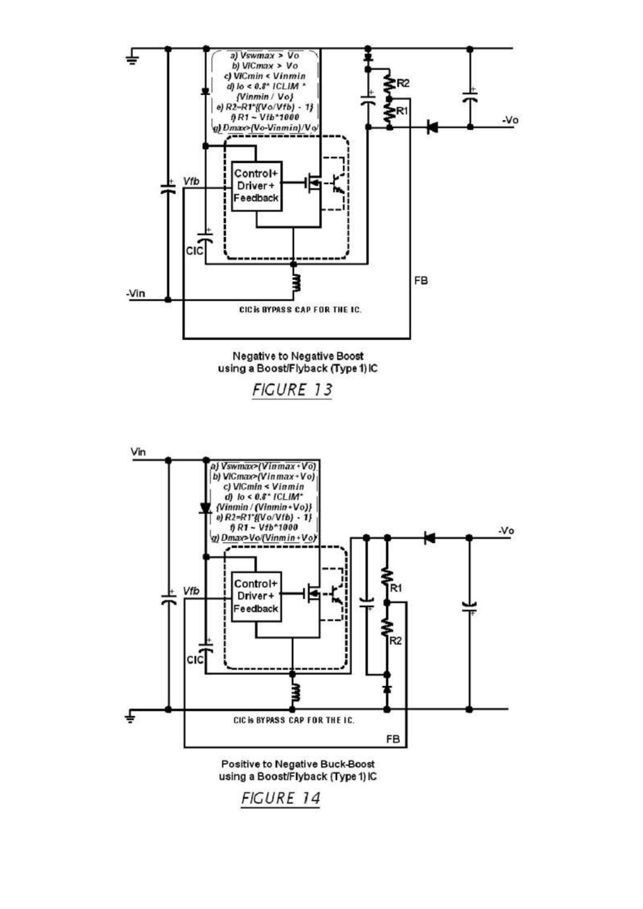![](_page_15_Figure_0.jpeg)

![](_page_15_Figure_1.jpeg)

![](_page_15_Figure_2.jpeg)

FIGURE 14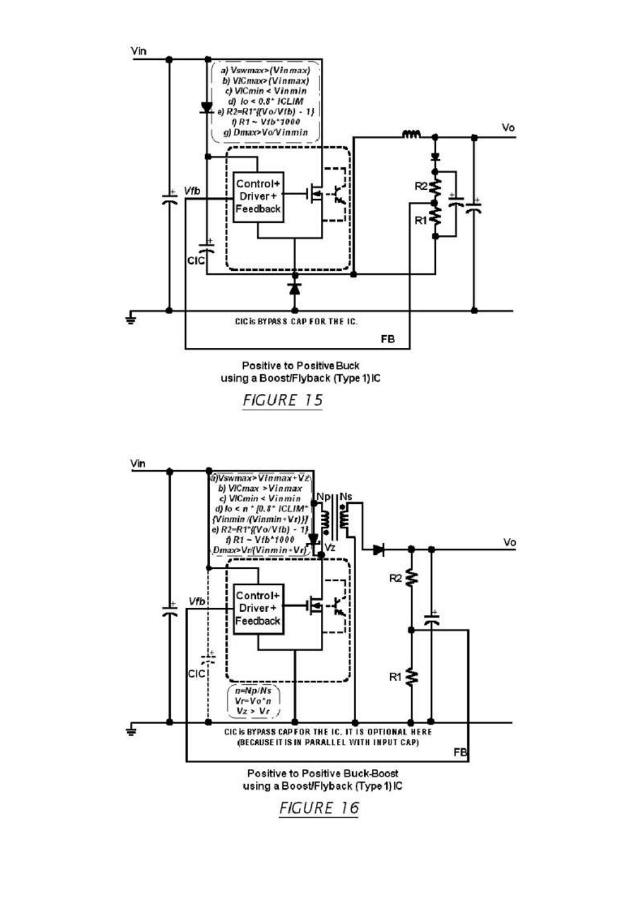![](_page_16_Figure_0.jpeg)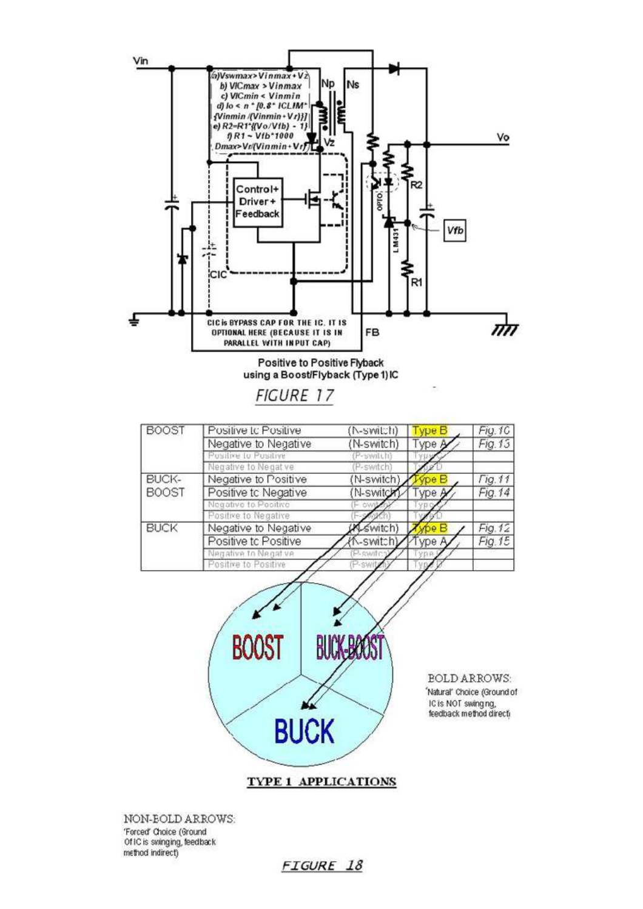![](_page_17_Figure_0.jpeg)

NON-BOLD ARROWS: 'Forced' Choice (Ground Of IC is swinging, feedback method indirect)

**FIGURE 18**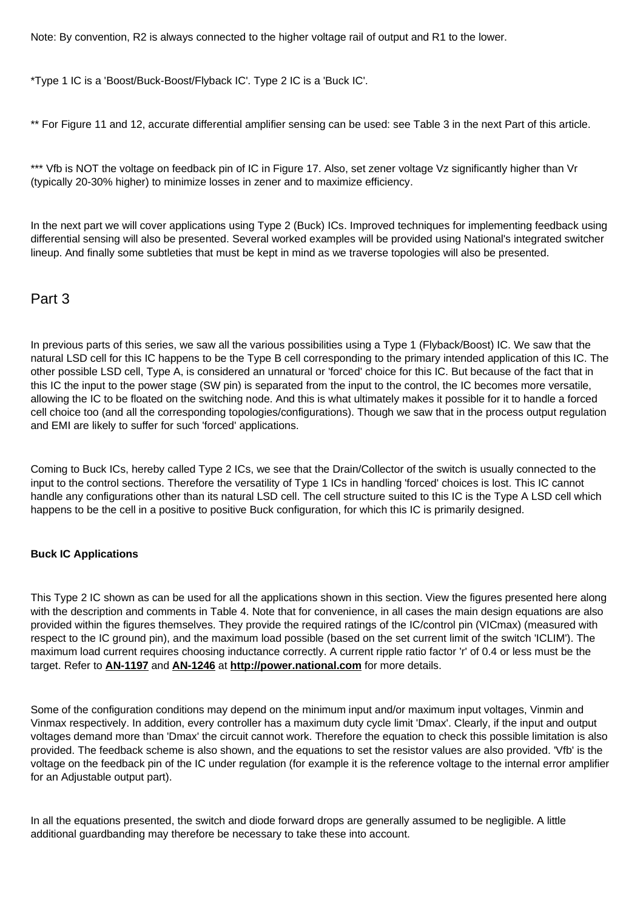Note: By convention, R2 is always connected to the higher voltage rail of output and R1 to the lower.

\*Type 1 IC is a 'Boost/Buck-Boost/Flyback IC'. Type 2 IC is a 'Buck IC'.

\*\* For Figure 11 and 12, accurate differential amplifier sensing can be used: see Table 3 in the next Part of this article.

\*\*\* Vfb is NOT the voltage on feedback pin of IC in Figure 17. Also, set zener voltage Vz significantly higher than Vr (typically 20-30% higher) to minimize losses in zener and to maximize efficiency.

In the next part we will cover applications using Type 2 (Buck) ICs. Improved techniques for implementing feedback using differential sensing will also be presented. Several worked examples will be provided using National's integrated switcher lineup. And finally some subtleties that must be kept in mind as we traverse topologies will also be presented.

# Part 3

In previous parts of this series, we saw all the various possibilities using a Type 1 (Flyback/Boost) IC. We saw that the natural LSD cell for this IC happens to be the Type B cell corresponding to the primary intended application of this IC. The other possible LSD cell, Type A, is considered an unnatural or 'forced' choice for this IC. But because of the fact that in this IC the input to the power stage (SW pin) is separated from the input to the control, the IC becomes more versatile, allowing the IC to be floated on the switching node. And this is what ultimately makes it possible for it to handle a forced cell choice too (and all the corresponding topologies/configurations). Though we saw that in the process output regulation and EMI are likely to suffer for such 'forced' applications.

Coming to Buck ICs, hereby called Type 2 ICs, we see that the Drain/Collector of the switch is usually connected to the input to the control sections. Therefore the versatility of Type 1 ICs in handling 'forced' choices is lost. This IC cannot handle any configurations other than its natural LSD cell. The cell structure suited to this IC is the Type A LSD cell which happens to be the cell in a positive to positive Buck configuration, for which this IC is primarily designed.

## **Buck IC Applications**

This Type 2 IC shown as can be used for all the applications shown in this section. View the figures presented here along with the description and comments in Table 4. Note that for convenience, in all cases the main design equations are also provided within the figures themselves. They provide the required ratings of the IC/control pin (VICmax) (measured with respect to the IC ground pin), and the maximum load possible (based on the set current limit of the switch 'ICLIM'). The maximum load current requires choosing inductance correctly. A current ripple ratio factor 'r' of 0.4 or less must be the target. Refer to **AN-1197** and **AN-1246** at **http://power.national.com** for more details.

Some of the configuration conditions may depend on the minimum input and/or maximum input voltages, Vinmin and Vinmax respectively. In addition, every controller has a maximum duty cycle limit 'Dmax'. Clearly, if the input and output voltages demand more than 'Dmax' the circuit cannot work. Therefore the equation to check this possible limitation is also provided. The feedback scheme is also shown, and the equations to set the resistor values are also provided. 'Vfb' is the voltage on the feedback pin of the IC under regulation (for example it is the reference voltage to the internal error amplifier for an Adjustable output part).

In all the equations presented, the switch and diode forward drops are generally assumed to be negligible. A little additional guardbanding may therefore be necessary to take these into account.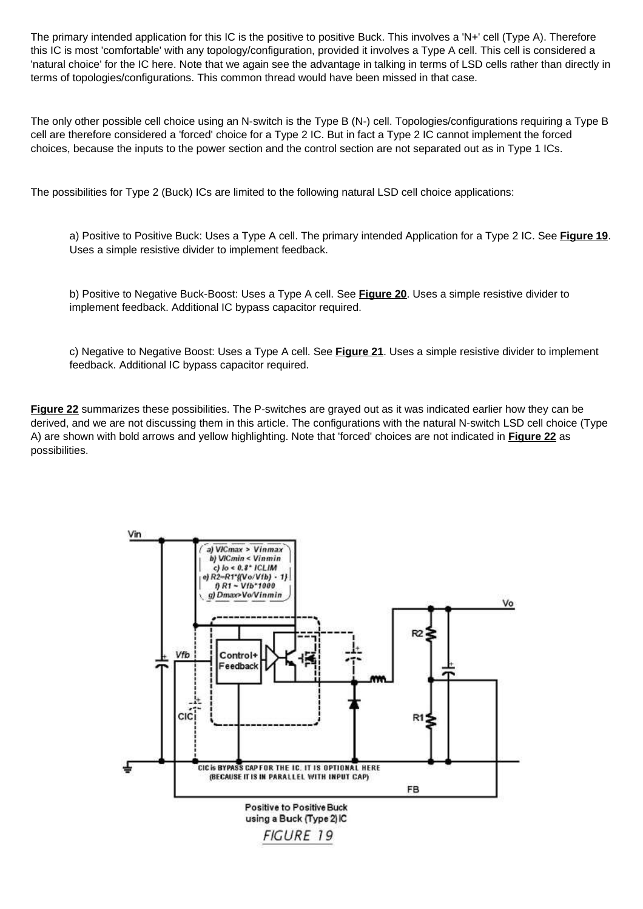The primary intended application for this IC is the positive to positive Buck. This involves a 'N+' cell (Type A). Therefore this IC is most 'comfortable' with any topology/configuration, provided it involves a Type A cell. This cell is considered a 'natural choice' for the IC here. Note that we again see the advantage in talking in terms of LSD cells rather than directly in terms of topologies/configurations. This common thread would have been missed in that case.

The only other possible cell choice using an N-switch is the Type B (N-) cell. Topologies/configurations requiring a Type B cell are therefore considered a 'forced' choice for a Type 2 IC. But in fact a Type 2 IC cannot implement the forced choices, because the inputs to the power section and the control section are not separated out as in Type 1 ICs.

The possibilities for Type 2 (Buck) ICs are limited to the following natural LSD cell choice applications:

a) Positive to Positive Buck: Uses a Type A cell. The primary intended Application for a Type 2 IC. See **Figure 19**. Uses a simple resistive divider to implement feedback.

b) Positive to Negative Buck-Boost: Uses a Type A cell. See **Figure 20**. Uses a simple resistive divider to implement feedback. Additional IC bypass capacitor required.

c) Negative to Negative Boost: Uses a Type A cell. See **Figure 21**. Uses a simple resistive divider to implement feedback. Additional IC bypass capacitor required.

**Figure 22** summarizes these possibilities. The P-switches are grayed out as it was indicated earlier how they can be derived, and we are not discussing them in this article. The configurations with the natural N-switch LSD cell choice (Type A) are shown with bold arrows and yellow highlighting. Note that 'forced' choices are not indicated in **Figure 22** as possibilities.

![](_page_19_Figure_7.jpeg)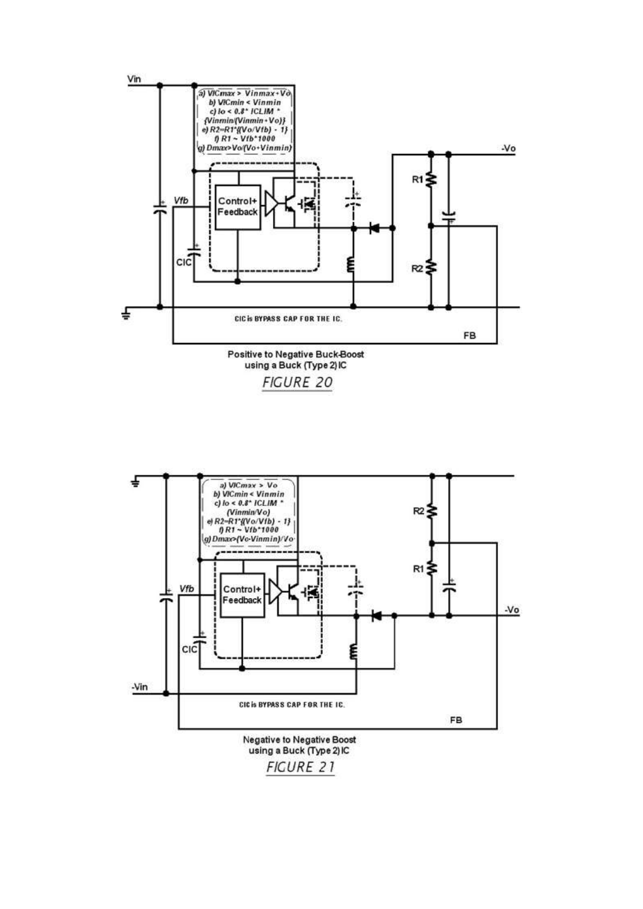![](_page_20_Figure_0.jpeg)

![](_page_20_Figure_1.jpeg)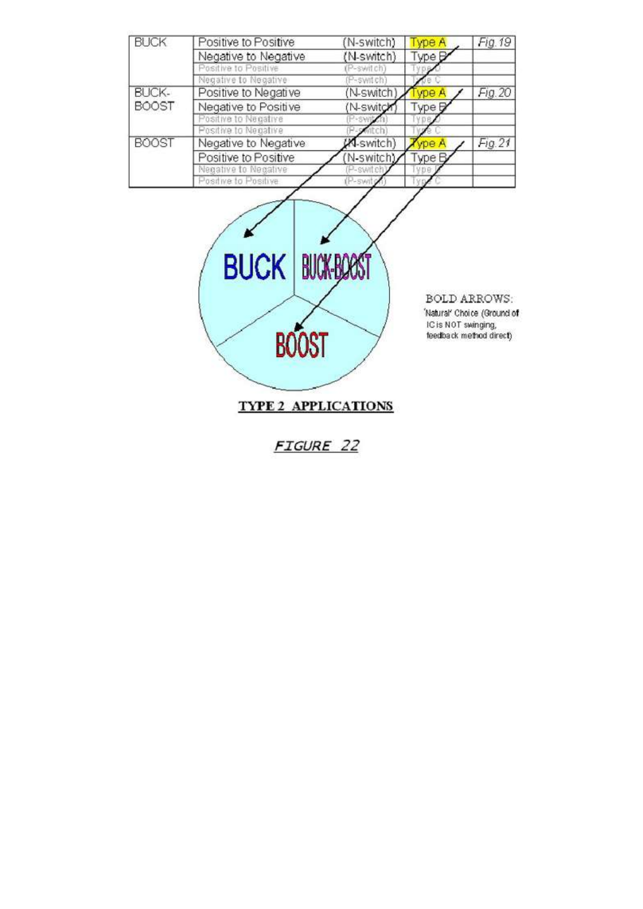| <b>BUCK</b>  | Positive to Positive | (N-switch)       | ype A  | Fig. 19 |
|--------------|----------------------|------------------|--------|---------|
|              | Negative to Negative | (N-switch)       | Type B |         |
|              | Positive to Positive | (P-switch)       |        |         |
|              | Negative to Negative | P-switch)        | ë C    |         |
| BUCK-        | Positive to Negative | (N-switch)       | vpe A  | Fig. 20 |
| <b>BOOST</b> | Negative to Positive | (N-switch        | Type D |         |
|              | Positive to Negative |                  |        |         |
|              | Positive to Negative |                  |        |         |
| <b>BOOST</b> | Negative to Negative | <b>M-switch)</b> | rpe A  | Fig. 21 |
|              | Positive to Positive | (N-switch)       | Type B |         |
|              | Negative to Negative | P-switch)        | 早日升    |         |
|              | Positive to Positive | (P-swite         |        |         |

![](_page_21_Picture_1.jpeg)

**FIGURE 22**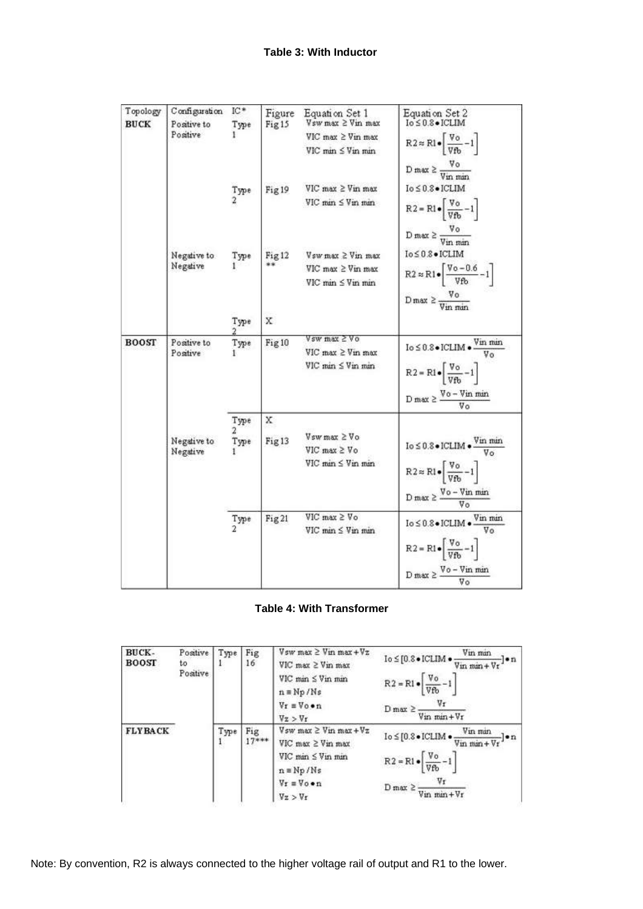| Topology<br><b>BUCK</b> | Configuration<br>Positive to<br>Positive | $IC*$<br>Type     | Figure<br>Fig15         | Equation Set 1<br>$Vsw$ max $\geq$ $Vin$ max                                       | Equation Set 2<br>$Io \leq 0.8 \bullet$ ICLIM                                                                                                                                                            |
|-------------------------|------------------------------------------|-------------------|-------------------------|------------------------------------------------------------------------------------|----------------------------------------------------------------------------------------------------------------------------------------------------------------------------------------------------------|
|                         |                                          |                   |                         | $VIC$ max $\geq$ Vin max<br>VIC min ≤ Vin min                                      | $R2 \approx R1 \cdot \left[ \frac{V_0}{V_{\text{fb}}} - 1 \right]$                                                                                                                                       |
|                         |                                          | Type              | Fig 19                  | $VIC$ max $\geq$ Vin max<br>$VIC$ min $\leq$ Vin min                               | D max $\geq \frac{\text{V}_0}{\text{V}_{\text{in min}}}$<br>Io ≤ 0.8 · ICLIM<br>$R2 = R1 \cdot \left[ \frac{V_0}{V_{\text{fb}}} - 1 \right]$                                                             |
|                         | Negative to<br>Negative                  | Type              | Fig <sub>12</sub><br>** | $V$ sw max $\geq$ Vin max<br>$VIC$ max $\geq$ Vin max<br>$VIC$ man $\leq$ V in man | D max $\geq \frac{\text{V}_0}{\text{V}_{\text{in,min}}}\$<br>Io ≤ 0.8 · ICLIM<br>$R2 \approx R1 \bullet \left[ \frac{V_0 - 0.6}{V_{\text{fb}}} - 1 \right]$<br>$D \max \geq \frac{V_0}{V_{in min}}$      |
|                         |                                          | Type              | X                       |                                                                                    |                                                                                                                                                                                                          |
| <b>BOOST</b>            | Positive to<br>Positive                  | Type              | Fig <sub>10</sub>       | Vsw max 2 Vo<br>$VIC$ max $\geq$ Vin max<br>VIC min ≤ Vin min                      | $\text{Io} \leq 0.8 \bullet \text{ICLIM} \bullet \frac{\text{Vin main}}{\cdots}$<br>$R2 = R1 \bullet \left[ \frac{V_0}{Vfb} - 1 \right]$<br>D max $\geq \frac{\sqrt{6} - \sqrt{6}}{\sqrt{6}}$            |
|                         | Negative to<br>Negative                  | Type<br>2<br>Type | x<br>Fig <sub>13</sub>  | Vsw max ≥ Vo<br>$VIC$ max $\geq V_O$<br>$VIC$ min $\leq$ Vin min                   | $I_0 \leq 0.8 \bullet$ ICLIM $\bullet \frac{V_{\text{in}}}{V_{\Omega}}$<br>$R2 \approx R1 \bullet \left[ \frac{V_0}{V f h} - 1 \right]$<br>$D \max \geq \frac{V_0 - V_{in}}{V_0}$                        |
|                         |                                          | Type<br>2         | Fig.21                  | $VIC$ max $\geq V_O$<br>$VIC$ min $\leq$ $V$ in min                                | $\texttt{Io} \leq 0.8 \bullet \texttt{ICLIM} \bullet \frac{\texttt{Vin min}}{\texttt{min}}$<br>$R2 = R1 \cdot \left[ \frac{V_0}{V f b} - 1 \right]$<br>D max $\geq \frac{\sqrt{6} - \sqrt{6}}{\sqrt{6}}$ |

# **Table 4: With Transformer**

| BUCK-<br><b>BOOST</b> | Positive<br>to<br>Positive | Type | Fig<br>16      | $V$ sw max $\geq$ Vin max + $Vz$<br>$VIC$ max $\geq$ Vin max<br>$VIC$ min $\leq$ Vin min<br>$n \equiv Np/Ns$<br>$V_T = V_0 \bullet n$<br>Vz > Vr | Vin min<br>$\texttt{Io} \leq [\texttt{0.8} \bullet \texttt{ICLIM} \bullet$<br>-1•n<br>$\n  Win min + Vr$<br>$R2 = R1 \bullet \sqrt{\frac{V_0}{V_{\text{fb}}} - 1}$<br>$D$ max $\geq$<br>Vin min+Vr |
|-----------------------|----------------------------|------|----------------|--------------------------------------------------------------------------------------------------------------------------------------------------|----------------------------------------------------------------------------------------------------------------------------------------------------------------------------------------------------|
| <b>FLYBACK</b>        |                            | Type | Fig<br>$17***$ | $Vsw$ max $\geq$ Vin max + $Vz$<br>$VC$ max $\geq$ Vin max<br>$VIC$ man $\leq$ Vin man<br>$n = Np/Ns$<br>$V_r = V_0 \cdot n$<br>Vz > Vr          | Vin min<br>$I_0 \leq [0.3 \bullet ICLIM \bullet$<br>l•n<br>$\nabla$ in min + $\nabla$ r<br>$R2 = R1 \bullet \sqrt{\frac{V_0}{V f_0} - 1}$<br>Vr<br>$D$ max $\geq$<br>$\n  W$ in $m + Vr$           |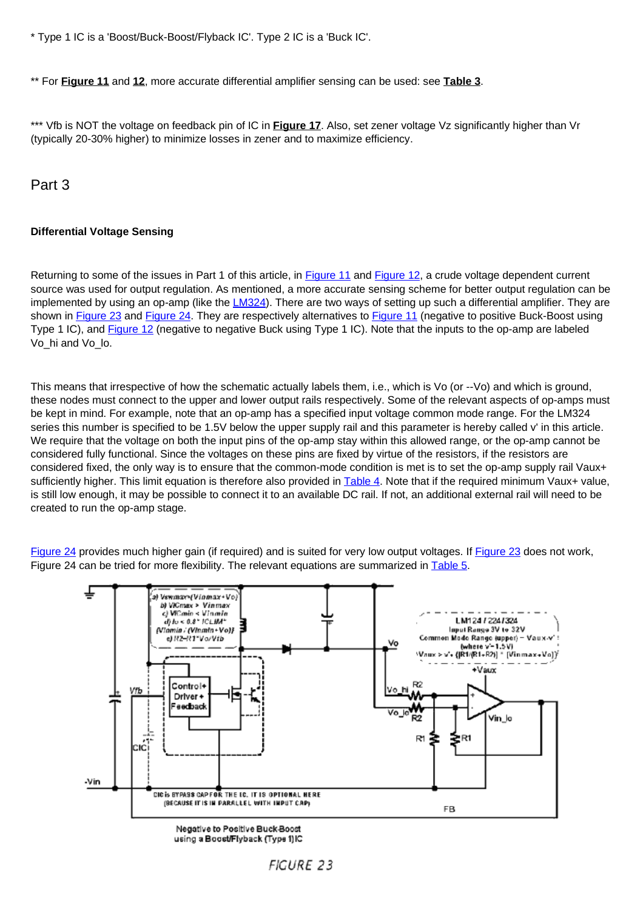\* Type 1 IC is a 'Boost/Buck-Boost/Flyback IC'. Type 2 IC is a 'Buck IC'.

\*\* For **Figure 11** and **12**, more accurate differential amplifier sensing can be used: see **Table 3**.

\*\*\* Vfb is NOT the voltage on feedback pin of IC in **Figure 17**. Also, set zener voltage Vz significantly higher than Vr (typically 20-30% higher) to minimize losses in zener and to maximize efficiency.

Part 3

# **Differential Voltage Sensing**

Returning to some of the issues in Part 1 of this article, in Figure 11 and Figure 12, a crude voltage dependent current source was used for output regulation. As mentioned, a more accurate sensing scheme for better output regulation can be implemented by using an op-amp (like the LM324). There are two ways of setting up such a differential amplifier. They are shown in Figure 23 and Figure 24. They are respectively alternatives to Figure 11 (negative to positive Buck-Boost using Type 1 IC), and **Figure 12** (negative to negative Buck using Type 1 IC). Note that the inputs to the op-amp are labeled Vo\_hi and Vo\_lo.

This means that irrespective of how the schematic actually labels them, i.e., which is Vo (or --Vo) and which is ground, these nodes must connect to the upper and lower output rails respectively. Some of the relevant aspects of op-amps must be kept in mind. For example, note that an op-amp has a specified input voltage common mode range. For the LM324 series this number is specified to be 1.5V below the upper supply rail and this parameter is hereby called v' in this article. We require that the voltage on both the input pins of the op-amp stay within this allowed range, or the op-amp cannot be considered fully functional. Since the voltages on these pins are fixed by virtue of the resistors, if the resistors are considered fixed, the only way is to ensure that the common-mode condition is met is to set the op-amp supply rail Vaux+ sufficiently higher. This limit equation is therefore also provided in Table 4. Note that if the required minimum Vaux+ value, is still low enough, it may be possible to connect it to an available DC rail. If not, an additional external rail will need to be created to run the op-amp stage.

Figure 24 provides much higher gain (if required) and is suited for very low output voltages. If Figure 23 does not work, Figure 24 can be tried for more flexibility. The relevant equations are summarized in Table 5.

![](_page_23_Figure_8.jpeg)

using a Boost/Flyback (Type 1)IC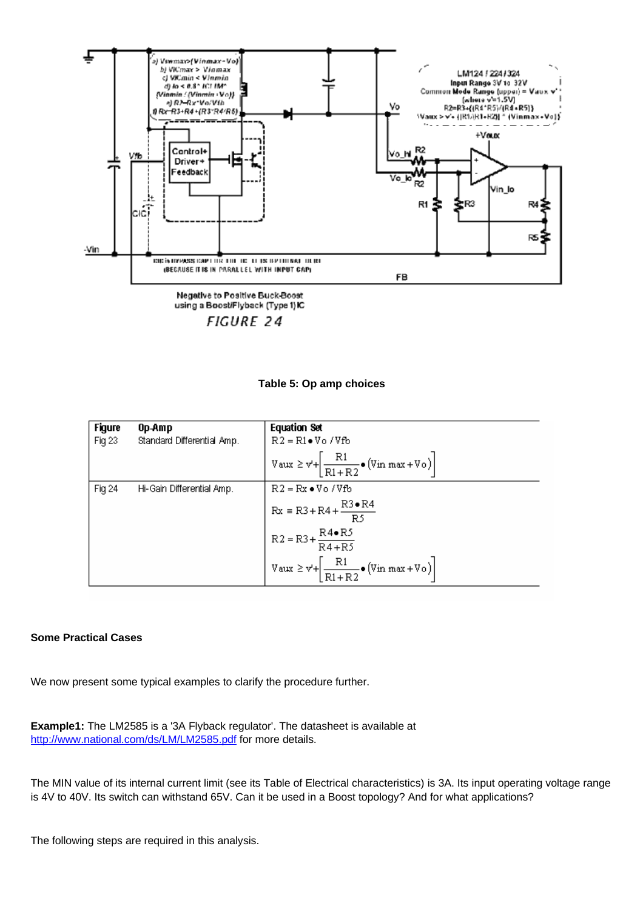![](_page_24_Figure_0.jpeg)

**FIGURE 24** 

**Table 5: Op amp choices**

| <b>Figure</b> | 0p-Amp                     | <b>Equation Set</b>                                                                                                                                                                                                     |
|---------------|----------------------------|-------------------------------------------------------------------------------------------------------------------------------------------------------------------------------------------------------------------------|
| Fig 23        | Standard Differential Amp. | $R2 = R1 \bullet V_0 / Vfb$                                                                                                                                                                                             |
|               |                            | $\boxed{\mathrm{V}\,\mathrm{aux}\geq \mathrm{v}^{\mathrm{i}}\!\!+\!\!\left[\frac{\mathrm{R1}}{\mathrm{R1}+\mathrm{R2}}\!\bullet\!\left(\mathrm{V}\,\mathrm{in}\;\mathrm{max}\!+\!\mathrm{V}\,\mathrm{o}\right)\right]}$ |
| Fig 24        | Hi-Gain Differential Amp.  | $R2 = Rx \cdot Vo / Vfb$                                                                                                                                                                                                |
|               |                            | $Rx = R3 + R4 + \frac{R3 \cdot R4}{R5}$                                                                                                                                                                                 |
|               |                            | $R2 = R3 + \frac{R4 \cdot R5}{R4 + R5}$                                                                                                                                                                                 |
|               |                            | $V$ aux $\geq v' + \left[\frac{R1}{R1 + R2}\bullet (V\text{in max} + V\text{o})\right]$                                                                                                                                 |

## **Some Practical Cases**

We now present some typical examples to clarify the procedure further.

**Example1:** The LM2585 is a '3A Flyback regulator'. The datasheet is available at http://www.national.com/ds/LM/LM2585.pdf for more details.

The MIN value of its internal current limit (see its Table of Electrical characteristics) is 3A. Its input operating voltage range is 4V to 40V. Its switch can withstand 65V. Can it be used in a Boost topology? And for what applications?

The following steps are required in this analysis.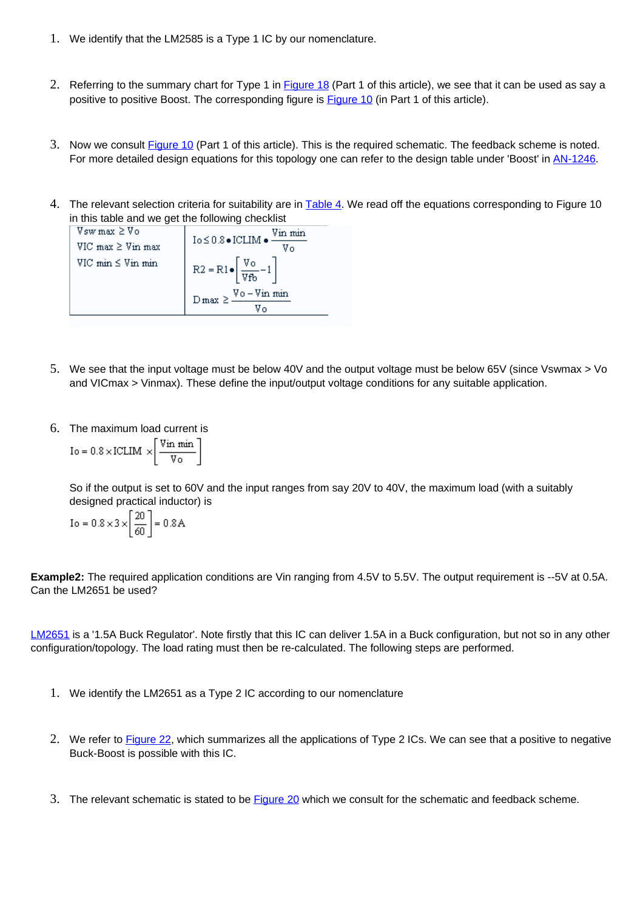- 1. We identify that the LM2585 is a Type 1 IC by our nomenclature.
- 2. Referring to the summary chart for Type 1 in Figure 18 (Part 1 of this article), we see that it can be used as say a positive to positive Boost. The corresponding figure is Figure 10 (in Part 1 of this article).
- 3. Now we consult Figure 10 (Part 1 of this article). This is the required schematic. The feedback scheme is noted. For more detailed design equations for this topology one can refer to the design table under 'Boost' in AN-1246.
- 4. The relevant selection criteria for suitability are in Table 4. We read off the equations corresponding to Figure 10 in this table and we get the following checklist

| $V$ sw max $\geq V_0$      | Vin min<br>$\textrm{Io} \leq 0.8 \bullet \textrm{ICLIM} \bullet$ |
|----------------------------|------------------------------------------------------------------|
| $VIC$ max $\geq$ Vin max   | V٥                                                               |
| $VIC \nmin \leq Vin \nmin$ | $R2 = R1 \bullet \left[ \frac{V_0}{Vfb} - 1 \right]$             |
|                            | $D\max \geq \frac{Vo-Vin\ min}$                                  |
|                            |                                                                  |

- 5. We see that the input voltage must be below 40V and the output voltage must be below 65V (since Vswmax > Vo and VICmax > Vinmax). These define the input/output voltage conditions for any suitable application.
- 6. The maximum load current is

$$
Io = 0.8 \times ICLIM \times \left[ \frac{Vin \ min}{V_0} \right]
$$

So if the output is set to 60V and the input ranges from say 20V to 40V, the maximum load (with a suitably designed practical inductor) is

$$
I_0 = 0.8 \times 3 \times \left[\frac{20}{60}\right] = 0.8 \,\mathrm{A}
$$

**Example2:** The required application conditions are Vin ranging from 4.5V to 5.5V. The output requirement is --5V at 0.5A. Can the LM2651 be used?

LM2651 is a '1.5A Buck Regulator'. Note firstly that this IC can deliver 1.5A in a Buck configuration, but not so in any other configuration/topology. The load rating must then be re-calculated. The following steps are performed.

- 1. We identify the LM2651 as a Type 2 IC according to our nomenclature
- 2. We refer to Figure 22, which summarizes all the applications of Type 2 ICs. We can see that a positive to negative Buck-Boost is possible with this IC.
- 3. The relevant schematic is stated to be Figure 20 which we consult for the schematic and feedback scheme.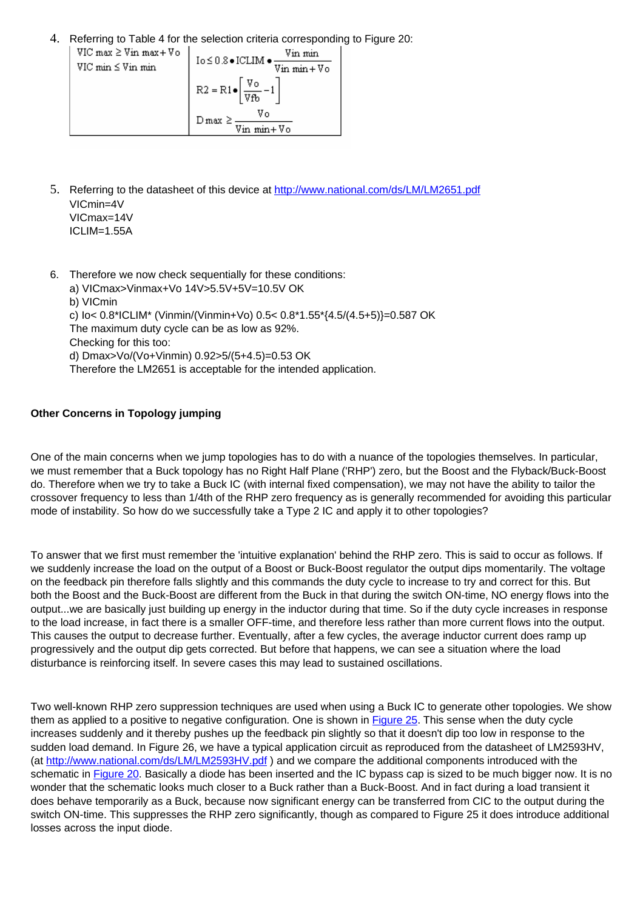4. Referring to Table 4 for the selection criteria corresponding to Figure 20:<br>  $\left| \begin{array}{c} \nabla U \cap \text{max} \geq \nabla \text{in} \text{max} + \nabla \text{o} \\ \nabla U \geq \nabla \text{in} \text{min} \end{array} \right|$   $\left| \begin{array}{c} \nabla \text{in} \text{min} \\ \nabla \text{in} \text{min} + \nabla \text{o} \end{array} \right|$  $VIC$  max  $\geq$  Vin max + Vo VIC min ≤ Vin min  $R2 = R1 \bullet \left[ \frac{V_0}{Vfb} - 1 \right]$  $D \max \geq \frac{V_0}{\frac{V_{\text{in}} \min + V_0}{\min + V_0}}$ 

- 5. Referring to the datasheet of this device at http://www.national.com/ds/LM/LM2651.pdf VICmin=4V VICmax=14V ICLIM=1.55A
- 6. Therefore we now check sequentially for these conditions: a) VICmax>Vinmax+Vo 14V>5.5V+5V=10.5V OK b) VICmin c) Io< 0.8\*ICLIM\* (Vinmin/(Vinmin+Vo) 0.5< 0.8\*1.55\*{4.5/(4.5+5)}=0.587 OK The maximum duty cycle can be as low as 92%. Checking for this too: d) Dmax>Vo/(Vo+Vinmin) 0.92>5/(5+4.5)=0.53 OK Therefore the LM2651 is acceptable for the intended application.

## **Other Concerns in Topology jumping**

One of the main concerns when we jump topologies has to do with a nuance of the topologies themselves. In particular, we must remember that a Buck topology has no Right Half Plane ('RHP') zero, but the Boost and the Flyback/Buck-Boost do. Therefore when we try to take a Buck IC (with internal fixed compensation), we may not have the ability to tailor the crossover frequency to less than 1/4th of the RHP zero frequency as is generally recommended for avoiding this particular mode of instability. So how do we successfully take a Type 2 IC and apply it to other topologies?

To answer that we first must remember the 'intuitive explanation' behind the RHP zero. This is said to occur as follows. If we suddenly increase the load on the output of a Boost or Buck-Boost regulator the output dips momentarily. The voltage on the feedback pin therefore falls slightly and this commands the duty cycle to increase to try and correct for this. But both the Boost and the Buck-Boost are different from the Buck in that during the switch ON-time, NO energy flows into the output...we are basically just building up energy in the inductor during that time. So if the duty cycle increases in response to the load increase, in fact there is a smaller OFF-time, and therefore less rather than more current flows into the output. This causes the output to decrease further. Eventually, after a few cycles, the average inductor current does ramp up progressively and the output dip gets corrected. But before that happens, we can see a situation where the load disturbance is reinforcing itself. In severe cases this may lead to sustained oscillations.

Two well-known RHP zero suppression techniques are used when using a Buck IC to generate other topologies. We show them as applied to a positive to negative configuration. One is shown in Figure 25. This sense when the duty cycle increases suddenly and it thereby pushes up the feedback pin slightly so that it doesn't dip too low in response to the sudden load demand. In Figure 26, we have a typical application circuit as reproduced from the datasheet of LM2593HV, (at http://www.national.com/ds/LM/LM2593HV.pdf ) and we compare the additional components introduced with the schematic in Figure 20. Basically a diode has been inserted and the IC bypass cap is sized to be much bigger now. It is no wonder that the schematic looks much closer to a Buck rather than a Buck-Boost. And in fact during a load transient it does behave temporarily as a Buck, because now significant energy can be transferred from CIC to the output during the switch ON-time. This suppresses the RHP zero significantly, though as compared to Figure 25 it does introduce additional losses across the input diode.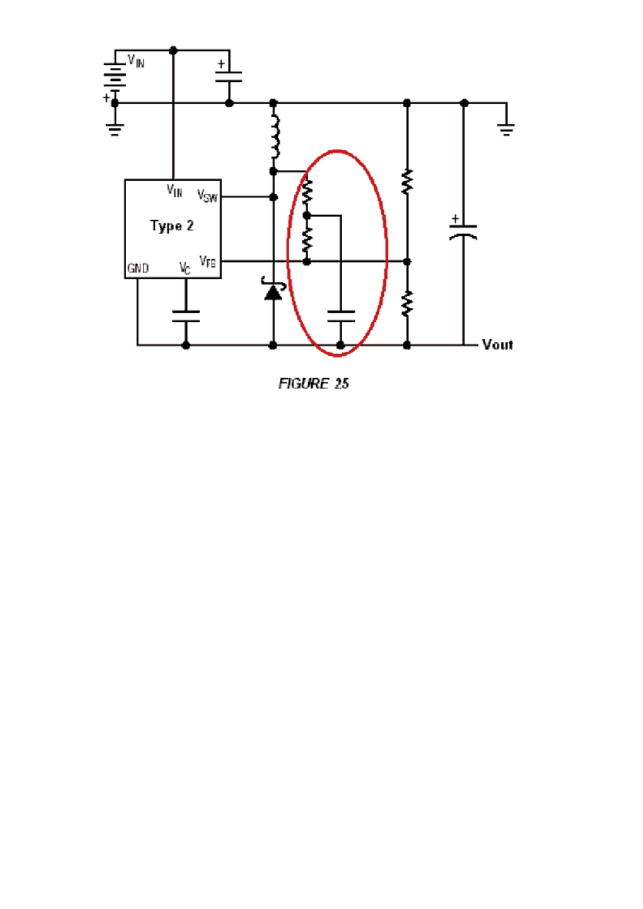![](_page_27_Figure_0.jpeg)

![](_page_27_Figure_1.jpeg)